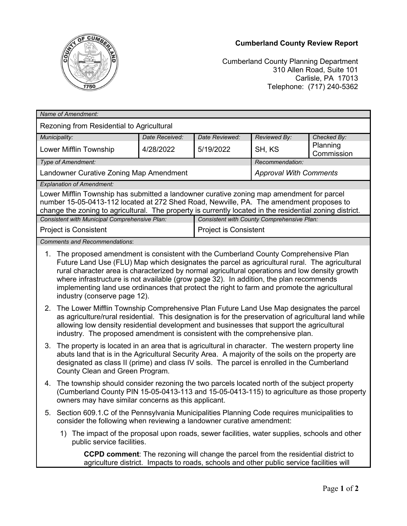## **Cumberland County Review Report**



Cumberland County Planning Department 310 Allen Road, Suite 101 Carlisle, PA 17013 Telephone: (717) 240-5362

| Name of Amendment:                                                                                                                                                                                                                                                                               |                                                                                                                                                                                                                                                                                                                                                                                                                                                                                                                                                                                                                                     |                |                                            |                               |                        |  |
|--------------------------------------------------------------------------------------------------------------------------------------------------------------------------------------------------------------------------------------------------------------------------------------------------|-------------------------------------------------------------------------------------------------------------------------------------------------------------------------------------------------------------------------------------------------------------------------------------------------------------------------------------------------------------------------------------------------------------------------------------------------------------------------------------------------------------------------------------------------------------------------------------------------------------------------------------|----------------|--------------------------------------------|-------------------------------|------------------------|--|
| Rezoning from Residential to Agricultural                                                                                                                                                                                                                                                        |                                                                                                                                                                                                                                                                                                                                                                                                                                                                                                                                                                                                                                     |                |                                            |                               |                        |  |
| Municipality:                                                                                                                                                                                                                                                                                    |                                                                                                                                                                                                                                                                                                                                                                                                                                                                                                                                                                                                                                     | Date Received: | Date Reviewed:                             | Reviewed By:                  | Checked By:            |  |
| Lower Mifflin Township                                                                                                                                                                                                                                                                           |                                                                                                                                                                                                                                                                                                                                                                                                                                                                                                                                                                                                                                     | 4/28/2022      | 5/19/2022                                  | SH, KS                        | Planning<br>Commission |  |
| Type of Amendment:<br>Recommendation:                                                                                                                                                                                                                                                            |                                                                                                                                                                                                                                                                                                                                                                                                                                                                                                                                                                                                                                     |                |                                            |                               |                        |  |
| Landowner Curative Zoning Map Amendment                                                                                                                                                                                                                                                          |                                                                                                                                                                                                                                                                                                                                                                                                                                                                                                                                                                                                                                     |                |                                            | <b>Approval With Comments</b> |                        |  |
| <b>Explanation of Amendment:</b>                                                                                                                                                                                                                                                                 |                                                                                                                                                                                                                                                                                                                                                                                                                                                                                                                                                                                                                                     |                |                                            |                               |                        |  |
| Lower Mifflin Township has submitted a landowner curative zoning map amendment for parcel<br>number 15-05-0413-112 located at 272 Shed Road, Newville, PA. The amendment proposes to<br>change the zoning to agricultural. The property is currently located in the residential zoning district. |                                                                                                                                                                                                                                                                                                                                                                                                                                                                                                                                                                                                                                     |                |                                            |                               |                        |  |
| Consistent with Municipal Comprehensive Plan:                                                                                                                                                                                                                                                    |                                                                                                                                                                                                                                                                                                                                                                                                                                                                                                                                                                                                                                     |                | Consistent with County Comprehensive Plan: |                               |                        |  |
| <b>Project is Consistent</b>                                                                                                                                                                                                                                                                     |                                                                                                                                                                                                                                                                                                                                                                                                                                                                                                                                                                                                                                     |                | <b>Project is Consistent</b>               |                               |                        |  |
| <b>Comments and Recommendations:</b>                                                                                                                                                                                                                                                             |                                                                                                                                                                                                                                                                                                                                                                                                                                                                                                                                                                                                                                     |                |                                            |                               |                        |  |
| 1. The proposed amendment is consistent with the Cumberland County Comprehensive Plan                                                                                                                                                                                                            | Future Land Use (FLU) Map which designates the parcel as agricultural rural. The agricultural<br>rural character area is characterized by normal agricultural operations and low density growth<br>where infrastructure is not available (grow page 32). In addition, the plan recommends<br>implementing land use ordinances that protect the right to farm and promote the agricultural<br>industry (conserve page 12).<br>The Lower Mifflin Township Comprehensive Plan Future Land Use Map designates the parcel<br>2.<br>as agriculture/rural residential. This designation is for the preservation of agricultural land while |                |                                            |                               |                        |  |
|                                                                                                                                                                                                                                                                                                  | allowing low density residential development and businesses that support the agricultural<br>industry. The proposed amendment is consistent with the comprehensive plan.                                                                                                                                                                                                                                                                                                                                                                                                                                                            |                |                                            |                               |                        |  |
| 3.                                                                                                                                                                                                                                                                                               | The property is located in an area that is agricultural in character. The western property line<br>abuts land that is in the Agricultural Security Area. A majority of the soils on the property are<br>designated as class II (prime) and class IV soils. The parcel is enrolled in the Cumberland<br>County Clean and Green Program.                                                                                                                                                                                                                                                                                              |                |                                            |                               |                        |  |
| 4.                                                                                                                                                                                                                                                                                               | The township should consider rezoning the two parcels located north of the subject property<br>(Cumberland County PIN 15-05-0413-113 and 15-05-0413-115) to agriculture as those property<br>owners may have similar concerns as this applicant.                                                                                                                                                                                                                                                                                                                                                                                    |                |                                            |                               |                        |  |
| 5.                                                                                                                                                                                                                                                                                               | Section 609.1.C of the Pennsylvania Municipalities Planning Code requires municipalities to<br>consider the following when reviewing a landowner curative amendment:                                                                                                                                                                                                                                                                                                                                                                                                                                                                |                |                                            |                               |                        |  |
|                                                                                                                                                                                                                                                                                                  | The impact of the proposal upon roads, sewer facilities, water supplies, schools and other<br>1)<br>public service facilities.                                                                                                                                                                                                                                                                                                                                                                                                                                                                                                      |                |                                            |                               |                        |  |
| <b>CCPD comment:</b> The rezoning will change the parcel from the residential district to<br>agriculture district. Impacts to roads, schools and other public service facilities will                                                                                                            |                                                                                                                                                                                                                                                                                                                                                                                                                                                                                                                                                                                                                                     |                |                                            |                               |                        |  |